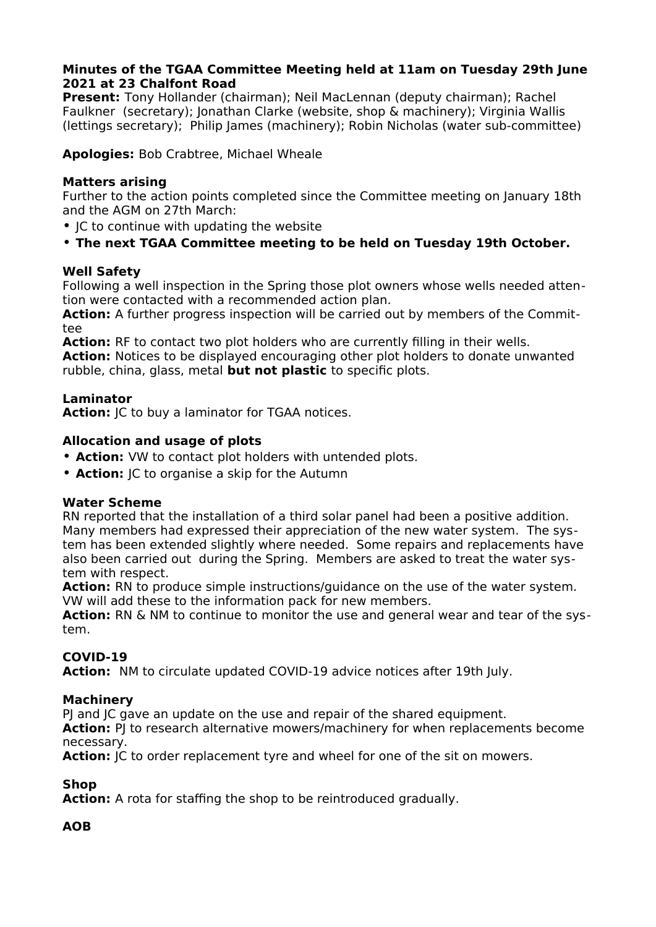# **Minutes of the TGAA Committee Meeting held at 11am on Tuesday 29th June 2021 at 23 Chalfont Road**

**Present:** Tony Hollander (chairman); Neil MacLennan (deputy chairman); Rachel Faulkner (secretary); Jonathan Clarke (website, shop & machinery); Virginia Wallis (lettings secretary); Philip James (machinery); Robin Nicholas (water sub-committee)

**Apologies:** Bob Crabtree, Michael Wheale

## **Matters arising**

Further to the action points completed since the Committee meeting on January 18th and the AGM on 27th March:

- JC to continue with updating the website
- **The next TGAA Committee meeting to be held on Tuesday 19th October.**

## **Well Safety**

Following a well inspection in the Spring those plot owners whose wells needed attention were contacted with a recommended action plan.

**Action:** A further progress inspection will be carried out by members of the Committee

**Action:** RF to contact two plot holders who are currently filling in their wells. **Action:** Notices to be displayed encouraging other plot holders to donate unwanted rubble, china, glass, metal **but not plastic** to specific plots.

## **Laminator**

Action: **JC** to buy a laminator for TGAA notices.

## **Allocation and usage of plots**

- **Action:** VW to contact plot holders with untended plots.
- **Action:** JC to organise a skip for the Autumn

### **Water Scheme**

RN reported that the installation of a third solar panel had been a positive addition. Many members had expressed their appreciation of the new water system. The system has been extended slightly where needed. Some repairs and replacements have also been carried out during the Spring. Members are asked to treat the water system with respect.

**Action:** RN to produce simple instructions/guidance on the use of the water system. VW will add these to the information pack for new members.

**Action:** RN & NM to continue to monitor the use and general wear and tear of the system.

# **COVID-19**

**Action:** NM to circulate updated COVID-19 advice notices after 19th July.

### **Machinery**

PJ and JC gave an update on the use and repair of the shared equipment.

Action: PJ to research alternative mowers/machinery for when replacements become necessary.

Action: **JC** to order replacement tyre and wheel for one of the sit on mowers.

# **Shop**

**Action:** A rota for staffing the shop to be reintroduced gradually.

# **AOB**